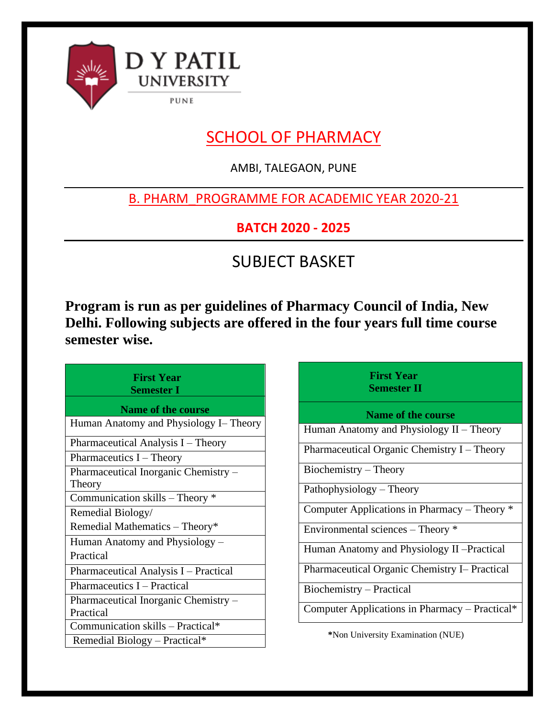

# SCHOOL OF PHARMACY

AMBI, TALEGAON, PUNE

# B. PHARM\_PROGRAMME FOR ACADEMIC YEAR 2020-21

**BATCH 2020 - 2025**

# SUBJECT BASKET

**Program is run as per guidelines of Pharmacy Council of India, New Delhi. Following subjects are offered in the four years full time course semester wise.**

| <b>First Year</b><br><b>Semester I</b>            |  |  |
|---------------------------------------------------|--|--|
| <b>Name of the course</b>                         |  |  |
| Human Anatomy and Physiology I– Theory            |  |  |
| Pharmaceutical Analysis I – Theory                |  |  |
| Pharmaceutics $I$ – Theory                        |  |  |
| Pharmaceutical Inorganic Chemistry -<br>Theory    |  |  |
| Communication skills – Theory *                   |  |  |
| Remedial Biology/                                 |  |  |
| Remedial Mathematics - Theory*                    |  |  |
| Human Anatomy and Physiology –                    |  |  |
| Practical                                         |  |  |
| Pharmaceutical Analysis I – Practical             |  |  |
| Pharmaceutics I - Practical                       |  |  |
| Pharmaceutical Inorganic Chemistry –<br>Practical |  |  |
| Communication skills - Practical*                 |  |  |
| Remedial Biology - Practical*                     |  |  |

# **First Year Semester II**

**Name of the course**

Human Anatomy and Physiology II – Theory

Pharmaceutical Organic Chemistry I – Theory

Biochemistry – Theory

Pathophysiology – Theory

Computer Applications in Pharmacy – Theory \*

Environmental sciences – Theory \*

Human Anatomy and Physiology II –Practical

Pharmaceutical Organic Chemistry I– Practical

Biochemistry – Practical

Computer Applications in Pharmacy – Practical\*

 **\***Non University Examination (NUE)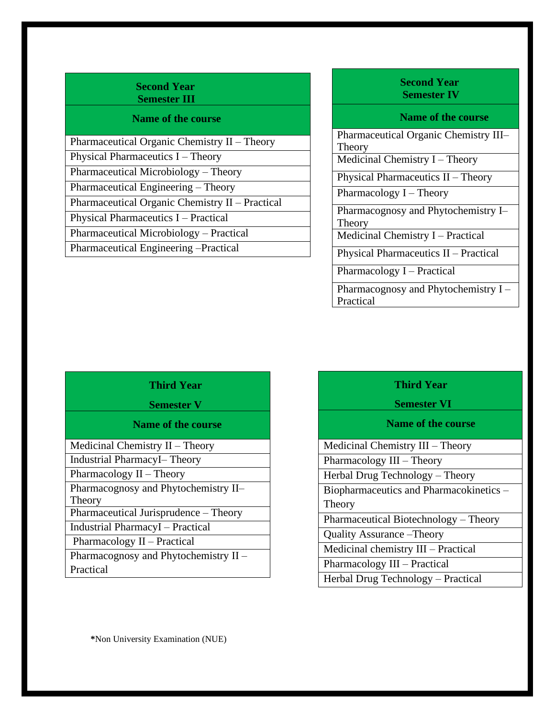#### **Second Year Semester III**

#### **Name of the course**

| Pharmaceutical Organic Chemistry II - Theory    |
|-------------------------------------------------|
| Physical Pharmaceutics $I$ – Theory             |
| Pharmaceutical Microbiology – Theory            |
| Pharmaceutical Engineering - Theory             |
| Pharmaceutical Organic Chemistry II – Practical |
| Physical Pharmaceutics I – Practical            |
| Pharmaceutical Microbiology – Practical         |
| Pharmaceutical Engineering -Practical           |

# **Second Year Semester IV**

### **Name of the course**

Pharmaceutical Organic Chemistry III– Theory Medicinal Chemistry I – Theory Physical Pharmaceutics II – Theory Pharmacology I – Theory Pharmacognosy and Phytochemistry I– Theory Medicinal Chemistry I – Practical Physical Pharmaceutics II – Practical Pharmacology I – Practical Pharmacognosy and Phytochemistry I – Practical

# **Third Year**

#### **Semester V**

#### **Name of the course**

Medicinal Chemistry II – Theory

Industrial PharmacyI– Theory

Pharmacology II – Theory

Pharmacognosy and Phytochemistry II– Theory

Pharmaceutical Jurisprudence – Theory

Industrial PharmacyI – Practical

Pharmacology II – Practical

Pharmacognosy and Phytochemistry II – Practical

# **Third Year**

 **Semester VI**

# **Name of the course**

Medicinal Chemistry III – Theory

Pharmacology III – Theory

Herbal Drug Technology – Theory

Biopharmaceutics and Pharmacokinetics – **Theory** 

Pharmaceutical Biotechnology – Theory

Quality Assurance –Theory

Medicinal chemistry III – Practical

Pharmacology III – Practical

Herbal Drug Technology – Practical

**\***Non University Examination (NUE)